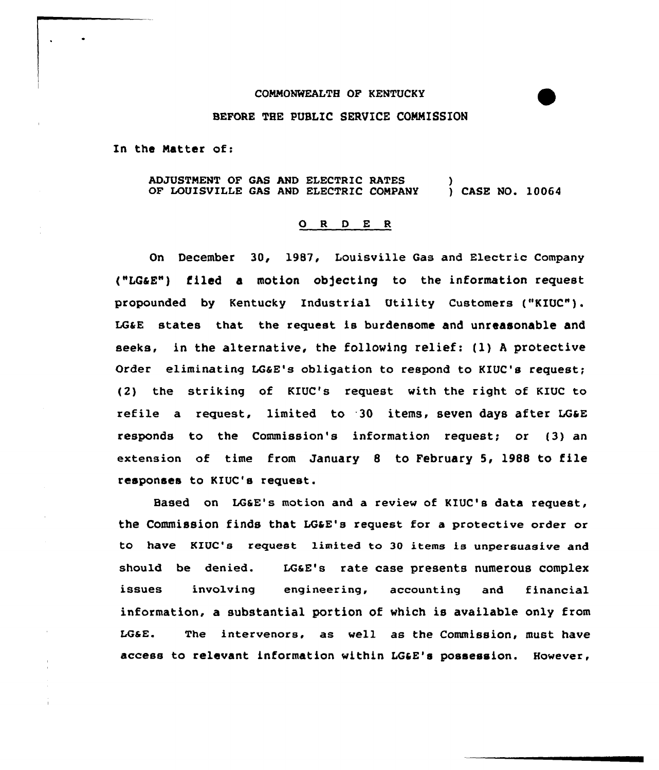## COMMONWEALTH OP KENTUCKY

## BEFORE THE PUBLIC SERVICE COMMISSION

In the Natter of:

ADJUSTMENT OF GAS AND ELECTRIC RATES OF LOUISVILLE GAS AND ELECTRIC COMPANY ) ) CASE NO. 10064

## 0 <sup>R</sup> <sup>D</sup> E <sup>R</sup>

On December 30, 1987, Louisville Gas and Electric Company ("LGaE") filed a motion ob)ecting to the information request propounded by Kentucky Industrial Utility Customers ("KIQC"). LGaE states that the request is burdensome and unreasonable and seeks, in the alternative, the following relief: (l) <sup>A</sup> protective Order eliminating LGaE's obligation to respond to KIUC's request; (2) the striking of KIUC's request with the right of KIUC to refile a request, limited to 30 items, seven days after LG&E responds to the Commission's information request; or (3) an extension of time from January <sup>8</sup> to February 5, 1988 to file responses to KIUC's request.

Based on LGSE's motion and a review of KIUC's data request, the Commission finds that LOSE's request for a protective order or to have KZUC's request limited to 30 items is unpersuasive and should be denied. LGaE's rate case presents numerous complex issues involving engineering, accounting and financial information, a substantial portion of which is available only from LGaE. The intervenors, as well as the Commission, must have access to relevant information within LGaE's possession. However,